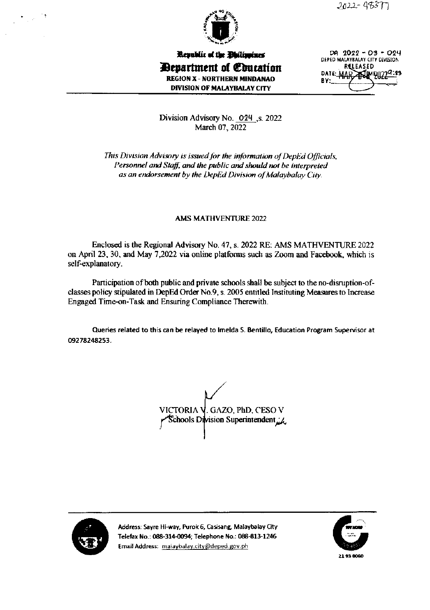

Republic of the Dhilippines **Department of Education REGION X - NORTHERN MINDANAO DIVISION OF MALAYBALAY CITY** 

DA 2022-03-024 DEPED MALAYBALAY CITY DIVISION RELEASED DATE: MAR ANIMPUZ  $BY:$ 

Division Advisory No. 024 .s. 2022 March 07, 2022

This Division Advisory is issued for the information of DepEd Officials, Personnel and Staff, and the public and should not be interpreted as an endorsement by the DepEd Division of Malaybalay City.

#### **AMS MATHVENTURE 2022**

Enclosed is the Regional Advisory No. 47, s. 2022 RE: AMS MATHVENTURE 2022 on April 23, 30, and May 7,2022 via online platforms such as Zoom and Facebook, which is self-explanatory.

Participation of both public and private schools shall be subject to the no-disruption-ofclasses policy stipulated in DepEd Order No.9, s. 2005 entitled Instituting Measures to Increase Engaged Time-on-Task and Ensuring Compliance Therewith.

Queries related to this can be relayed to Imelda S. Bentillo, Education Program Supervisor at 09278248253.

VICTORIA V. GAZO, PhD, CESO V  $\mathsf{r}$  Schools Division Superintendent  $\mathsf{r}$ 



Address: Sayre Hi-way, Purok 6, Casisang, Malaybalay City Telefax No.: 088-314-0094; Telephone No.: 088-813-1246 Email Address: malaybalay.city@deped.gov.ph

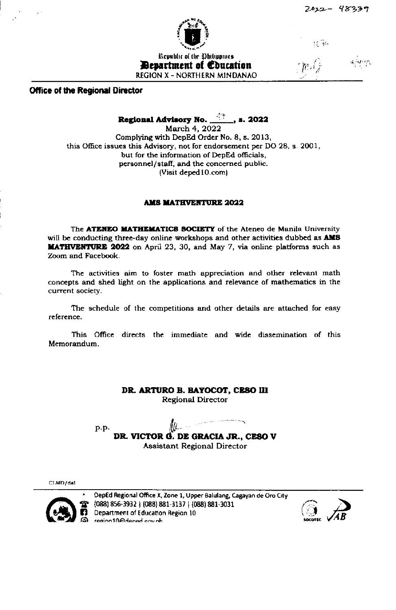

**Bevartment of Coucation REGION X - NORTHERN MINDANAO**  托书

**Office of the Regional Director** 

Regional Advisory No.  $\frac{47}{1}$ , s. 2022

March 4, 2022 Complying with DepEd Order No. 8, s. 2013, this Office issues this Advisory, not for endorsement per DO 28, s. 2001, but for the information of DepEd officials, personnel/staff, and the concerned public. (Visit deped 10.com)

## **AMS MATHVENTURE 2022**

The ATENEO MATHEMATICS SOCIETY of the Ateneo de Manila University will be conducting three-day online workshops and other activities dubbed as AMS **MATHVENTURE 2022** on April 23, 30, and May 7, via online platforms such as Zoom and Facebook.

The activities aim to foster math appreciation and other relevant math concepts and shed light on the applications and relevance of mathematics in the current society.

The schedule of the competitions and other details are attached for easy reference.

This Office directs the immediate and wide dissemination of this Memorandum.

# DR. ARTURO B. BAYOCOT, CESO III

**Regional Director** 

p.p. DR. VICTOR G. DE GRACIA JR., CESO V Assistant Regional Director

CLMD/dal



DepEd Regional Office X, Zone 1, Upper Balulang, Cagayan de Oro City (088) 856-3932 | (088) 881-3137 | (088) 881-3031 Department of Education Region 10 region10@dened.gov.nh

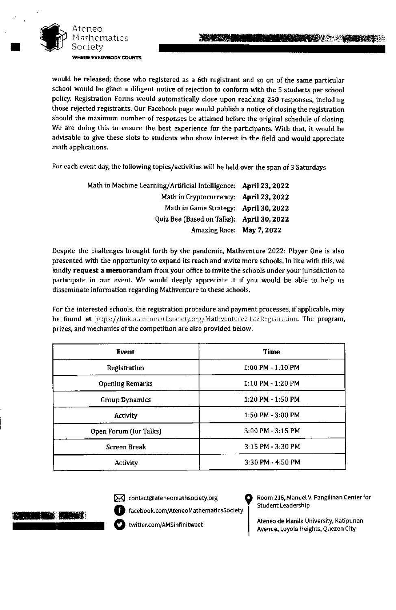

Ateneo athematics Society WHERE EVERYBODY COUNTS

would be released; those who registered as a 6th registrant and so on of the same particular school would be given a diligent notice of rejection to conform with the 5 students per school policy. Registration Forms would automatically close upon reaching 250 responses, including those rejected registrants. Our Facebook page would publish a notice of closing the registration should the maximum number of responses be attained before the original schedule of closing. We are doing this to ensure the best experience for the participants. With that, it would be advisable to give these slots to students who show interest in the field and would appreciate math applications.

For each event day, the following topics/activities will be held over the span of 3 Saturdays

| Math in Machine Learning/Artificial Intelligence: April 23, 2022 |  |
|------------------------------------------------------------------|--|
| Math in Cryptocurrency: April 23, 2022                           |  |
| Math in Game Strategy: April 30, 2022                            |  |
| Quiz Bee (Based on Talks): April 30, 2022                        |  |
| Amazing Race: May 7, 2022                                        |  |

Despite the challenges brought forth by the pandemic, Mathventure 2022: Player One is also presented with the opportunity to expand its reach and invite more schools. In line with this, we kindly request a memorandum from your office to invite the schools under your jurisdiction to participate in our event. We would deeply appreciate it if you would be able to help us disseminate information regarding Mathventure to these schools.

For the interested schools, the registration procedure and payment processes, if applicable, may be found at https://link.ateneomathsociety.org/Mathyenture2122Registration. The program, prizes, and mechanics of the competition are also provided below:

| <b>Event</b>           | Time                  |
|------------------------|-----------------------|
| Registration           | $1:00$ PM - $1:10$ PM |
| <b>Opening Remarks</b> | 1:10 PM - 1:20 PM     |
| <b>Group Dynamics</b>  | 1:20 PM - 1:50 PM     |
| Activity               | 1:50 PM - 3:00 PM     |
| Open Forum (for Talks) | 3:00 PM - 3:15 PM     |
| <b>Screen Break</b>    | 3:15 PM - 3:30 PM     |
| Activity               | 3:30 PM - 4:50 PM     |



M contact@ateneomathsociety.org

twitter.com/AMSinfinitweet

facebook.com/AteneoMathematicsSociety



Ateneo de Manila University, Katipunan Avenue, Loyola Heights, Quezon City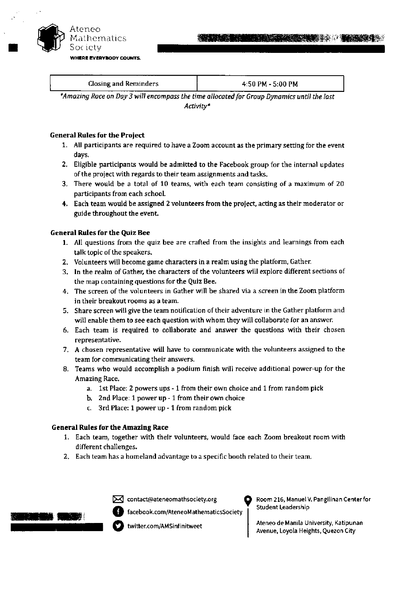

| _______<br>Closing and Reminders | $4:50$ PM - 5:00 PM |
|----------------------------------|---------------------|
| ----                             | --                  |
| .                                | __                  |
| $-$                              |                     |

\*Amazing Race on Day 3 will encompass the time allocated for Group Dynamics until the last Activity\*

#### **General Rules for the Project**

- 1. All participants are required to have a Zoom account as the primary setting for the event days.
- 2. Eligible participants would be admitted to the Facebook group for the internal updates of the project with regards to their team assignments and tasks.
- 3. There would be a total of 10 teams, with each team consisting of a maximum of 20 participants from each school.
- 4. Each team would be assigned 2 volunteers from the project, acting as their moderator or guide throughout the event.

## **General Rules for the Quiz Bee**

- 1. All questions from the quiz bee are crafted from the insights and learnings from each talk topic of the speakers.
- 2. Volunteers will become game characters in a realm using the platform, Gather.
- 3. In the realm of Gather, the characters of the volunteers will explore different sections of the map containing questions for the Quiz Bee.
- 4. The screen of the volunteers in Gather will be shared via a screen in the Zoom platform in their breakout rooms as a team.
- 5. Share screen will give the team notification of their adventure in the Gather platform and will enable them to see each question with whom they will collaborate for an answer.
- 6. Each team is required to collaborate and answer the questions with their chosen representative.
- 7. A chosen representative will have to communicate with the volunteers assigned to the team for communicating their answers.
- 8. Teams who would accomplish a podium finish will receive additional power-up for the Amazing Race.
	- a. 1st Place: 2 powers ups 1 from their own choice and 1 from random pick
	- b. 2nd Place: 1 power up 1 from their own choice
	- c. 3rd Place: 1 power up 1 from random pick

#### **General Rules for the Amazing Race**

- 1. Each team, together with their volunteers, would face each Zoom breakout room with different challenges.
- 2. Each team has a homeland advantage to a specific booth related to their team.



X contact@ateneomathsociety.org

facebook.com/AteneoMathematicsSociety

Room 216, Manuel V. Pangilinan Center for Student Leadership

Ateneo de Manila University, Katipunan Avenue, Loyola Heights, Quezon City

twitter.com/AMSinfinitweet